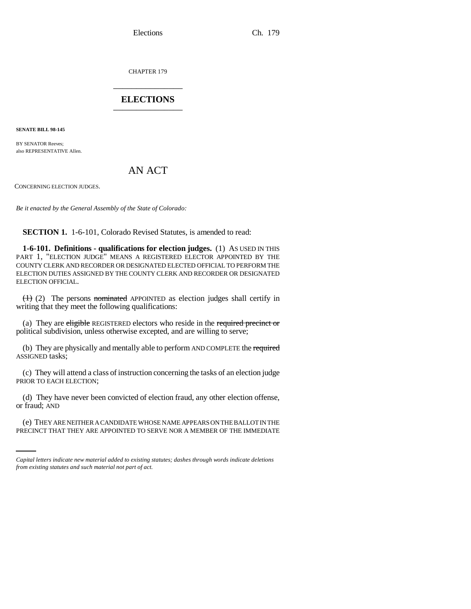CHAPTER 179 \_\_\_\_\_\_\_\_\_\_\_\_\_\_\_

## **ELECTIONS** \_\_\_\_\_\_\_\_\_\_\_\_\_\_\_

**SENATE BILL 98-145**

BY SENATOR Reeves: also REPRESENTATIVE Allen.

# AN ACT

CONCERNING ELECTION JUDGES.

*Be it enacted by the General Assembly of the State of Colorado:*

**SECTION 1.** 1-6-101, Colorado Revised Statutes, is amended to read:

**1-6-101. Definitions - qualifications for election judges.** (1) AS USED IN THIS PART 1, "ELECTION JUDGE" MEANS A REGISTERED ELECTOR APPOINTED BY THE COUNTY CLERK AND RECORDER OR DESIGNATED ELECTED OFFICIAL TO PERFORM THE ELECTION DUTIES ASSIGNED BY THE COUNTY CLERK AND RECORDER OR DESIGNATED ELECTION OFFICIAL.

 $(1)$  (2) The persons nominated APPOINTED as election judges shall certify in writing that they meet the following qualifications:

(a) They are eligible REGISTERED electors who reside in the required precinct or political subdivision, unless otherwise excepted, and are willing to serve;

(b) They are physically and mentally able to perform AND COMPLETE the required ASSIGNED tasks;

(c) They will attend a class of instruction concerning the tasks of an election judge PRIOR TO EACH ELECTION;

or fraud; AND (d) They have never been convicted of election fraud, any other election offense,

(e) THEY ARE NEITHER A CANDIDATE WHOSE NAME APPEARS ON THE BALLOT IN THE PRECINCT THAT THEY ARE APPOINTED TO SERVE NOR A MEMBER OF THE IMMEDIATE

*Capital letters indicate new material added to existing statutes; dashes through words indicate deletions from existing statutes and such material not part of act.*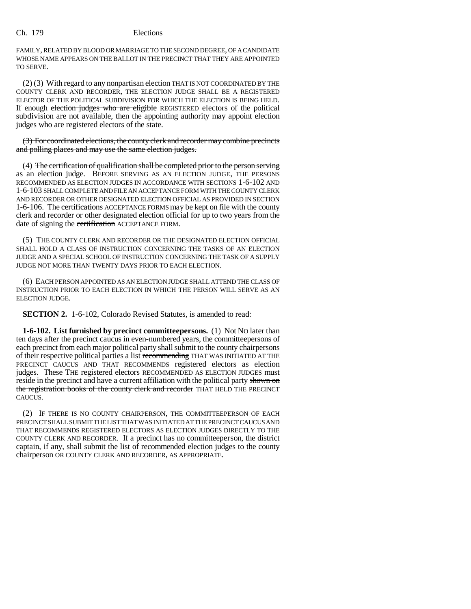FAMILY, RELATED BY BLOOD OR MARRIAGE TO THE SECOND DEGREE, OF A CANDIDATE WHOSE NAME APPEARS ON THE BALLOT IN THE PRECINCT THAT THEY ARE APPOINTED TO SERVE.

 $(2)$  (3) With regard to any nonpartisan election THAT IS NOT COORDINATED BY THE COUNTY CLERK AND RECORDER, THE ELECTION JUDGE SHALL BE A REGISTERED ELECTOR OF THE POLITICAL SUBDIVISION FOR WHICH THE ELECTION IS BEING HELD. If enough election judges who are eligible REGISTERED electors of the political subdivision are not available, then the appointing authority may appoint election judges who are registered electors of the state.

(3) For coordinated elections, the county clerk and recorder may combine precincts and polling places and may use the same election judges.

(4) The certification of qualification shall be completed prior to the person serving as an election judge. BEFORE SERVING AS AN ELECTION JUDGE, THE PERSONS RECOMMENDED AS ELECTION JUDGES IN ACCORDANCE WITH SECTIONS 1-6-102 AND 1-6-103 SHALL COMPLETE AND FILE AN ACCEPTANCE FORM WITH THE COUNTY CLERK AND RECORDER OR OTHER DESIGNATED ELECTION OFFICIAL AS PROVIDED IN SECTION 1-6-106. The certifications ACCEPTANCE FORMS may be kept on file with the county clerk and recorder or other designated election official for up to two years from the date of signing the certification ACCEPTANCE FORM.

(5) THE COUNTY CLERK AND RECORDER OR THE DESIGNATED ELECTION OFFICIAL SHALL HOLD A CLASS OF INSTRUCTION CONCERNING THE TASKS OF AN ELECTION JUDGE AND A SPECIAL SCHOOL OF INSTRUCTION CONCERNING THE TASK OF A SUPPLY JUDGE NOT MORE THAN TWENTY DAYS PRIOR TO EACH ELECTION.

(6) EACH PERSON APPOINTED AS AN ELECTION JUDGE SHALL ATTEND THE CLASS OF INSTRUCTION PRIOR TO EACH ELECTION IN WHICH THE PERSON WILL SERVE AS AN ELECTION JUDGE.

**SECTION 2.** 1-6-102, Colorado Revised Statutes, is amended to read:

**1-6-102.** List furnished by precinct committeepersons. (1) Not No later than ten days after the precinct caucus in even-numbered years, the committeepersons of each precinct from each major political party shall submit to the county chairpersons of their respective political parties a list recommending THAT WAS INITIATED AT THE PRECINCT CAUCUS AND THAT RECOMMENDS registered electors as election judges. These THE registered electors RECOMMENDED AS ELECTION JUDGES must reside in the precinct and have a current affiliation with the political party shown on the registration books of the county clerk and recorder THAT HELD THE PRECINCT CAUCUS.

(2) IF THERE IS NO COUNTY CHAIRPERSON, THE COMMITTEEPERSON OF EACH PRECINCT SHALL SUBMIT THE LIST THAT WAS INITIATED AT THE PRECINCT CAUCUS AND THAT RECOMMENDS REGISTERED ELECTORS AS ELECTION JUDGES DIRECTLY TO THE COUNTY CLERK AND RECORDER. If a precinct has no committeeperson, the district captain, if any, shall submit the list of recommended election judges to the county chairperson OR COUNTY CLERK AND RECORDER, AS APPROPRIATE.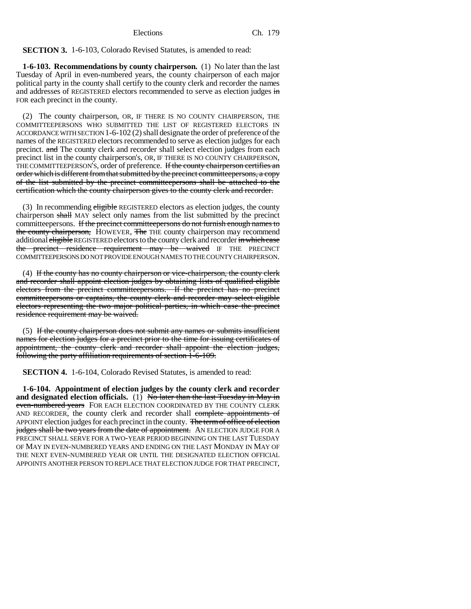### **SECTION 3.** 1-6-103, Colorado Revised Statutes, is amended to read:

**1-6-103. Recommendations by county chairperson.** (1) No later than the last Tuesday of April in even-numbered years, the county chairperson of each major political party in the county shall certify to the county clerk and recorder the names and addresses of REGISTERED electors recommended to serve as election judges in FOR each precinct in the county.

(2) The county chairperson, OR, IF THERE IS NO COUNTY CHAIRPERSON, THE COMMITTEEPERSONS WHO SUBMITTED THE LIST OF REGISTERED ELECTORS IN ACCORDANCE WITH SECTION 1-6-102 (2) shall designate the order of preference of the names of the REGISTERED electors recommended to serve as election judges for each precinct. and The county clerk and recorder shall select election judges from each precinct list in the county chairperson's, OR, IF THERE IS NO COUNTY CHAIRPERSON, THE COMMITTEEPERSON'S, order of preference. If the county chairperson certifies an order which is different from that submitted by the precinct committeepersons, a copy of the list submitted by the precinct committeepersons shall be attached to the certification which the county chairperson gives to the county clerk and recorder.

(3) In recommending eligible REGISTERED electors as election judges, the county chairperson shall MAY select only names from the list submitted by the precinct committeepersons. If the precinct committeepersons do not furnish enough names to the county chairperson, HOWEVER, The THE county chairperson may recommend additional eligible REGISTERED electors to the county clerk and recorder in which case the precinct residence requirement may be waived IF THE PRECINCT COMMITTEEPERSONS DO NOT PROVIDE ENOUGH NAMES TO THE COUNTY CHAIRPERSON.

(4) If the county has no county chairperson or vice-chairperson, the county clerk and recorder shall appoint election judges by obtaining lists of qualified eligible electors from the precinct committeepersons. If the precinct has no precinct committeepersons or captains, the county clerk and recorder may select eligible electors representing the two major political parties, in which case the precinct residence requirement may be waived.

(5) If the county chairperson does not submit any names or submits insufficient names for election judges for a precinct prior to the time for issuing certificates of appointment, the county clerk and recorder shall appoint the election judges, following the party affiliation requirements of section 1-6-109.

**SECTION 4.** 1-6-104, Colorado Revised Statutes, is amended to read:

**1-6-104. Appointment of election judges by the county clerk and recorder** and designated election officials. (1) No later than the last Tuesday in May in even-numbered years FOR EACH ELECTION COORDINATED BY THE COUNTY CLERK AND RECORDER, the county clerk and recorder shall complete appointments of APPOINT election judges for each precinct in the county. The term of office of election judges shall be two years from the date of appointment. AN ELECTION JUDGE FOR A PRECINCT SHALL SERVE FOR A TWO-YEAR PERIOD BEGINNING ON THE LAST TUESDAY OF MAY IN EVEN-NUMBERED YEARS AND ENDING ON THE LAST MONDAY IN MAY OF THE NEXT EVEN-NUMBERED YEAR OR UNTIL THE DESIGNATED ELECTION OFFICIAL APPOINTS ANOTHER PERSON TO REPLACE THAT ELECTION JUDGE FOR THAT PRECINCT,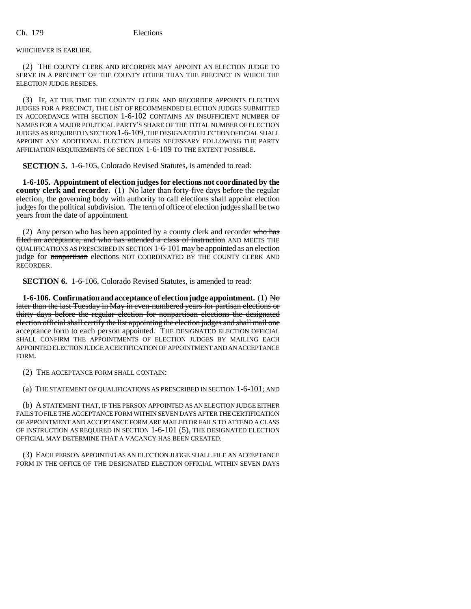WHICHEVER IS EARLIER.

(2) THE COUNTY CLERK AND RECORDER MAY APPOINT AN ELECTION JUDGE TO SERVE IN A PRECINCT OF THE COUNTY OTHER THAN THE PRECINCT IN WHICH THE ELECTION JUDGE RESIDES.

(3) IF, AT THE TIME THE COUNTY CLERK AND RECORDER APPOINTS ELECTION JUDGES FOR A PRECINCT, THE LIST OF RECOMMENDED ELECTION JUDGES SUBMITTED IN ACCORDANCE WITH SECTION 1-6-102 CONTAINS AN INSUFFICIENT NUMBER OF NAMES FOR A MAJOR POLITICAL PARTY'S SHARE OF THE TOTAL NUMBER OF ELECTION JUDGES AS REQUIRED IN SECTION 1-6-109, THE DESIGNATED ELECTION OFFICIAL SHALL APPOINT ANY ADDITIONAL ELECTION JUDGES NECESSARY FOLLOWING THE PARTY AFFILIATION REQUIREMENTS OF SECTION 1-6-109 TO THE EXTENT POSSIBLE.

**SECTION 5.** 1-6-105, Colorado Revised Statutes, is amended to read:

**1-6-105. Appointment of election judges for elections not coordinated by the county clerk and recorder.** (1) No later than forty-five days before the regular election, the governing body with authority to call elections shall appoint election judges for the political subdivision. The term of office of election judges shall be two years from the date of appointment.

(2) Any person who has been appointed by a county clerk and recorder who has filed an acceptance, and who has attended a class of instruction AND MEETS THE QUALIFICATIONS AS PRESCRIBED IN SECTION 1-6-101 may be appointed as an election judge for nonpartisan elections NOT COORDINATED BY THE COUNTY CLERK AND RECORDER.

**SECTION 6.** 1-6-106, Colorado Revised Statutes, is amended to read:

**1-6-106. Confirmation and acceptance of election judge appointment.** (1) No later than the last Tuesday in May in even-numbered years for partisan elections or thirty days before the regular election for nonpartisan elections the designated election official shall certify the list appointing the election judges and shall mail one acceptance form to each person appointed. THE DESIGNATED ELECTION OFFICIAL SHALL CONFIRM THE APPOINTMENTS OF ELECTION JUDGES BY MAILING EACH APPOINTED ELECTION JUDGE A CERTIFICATION OF APPOINTMENT AND AN ACCEPTANCE FORM.

(2) THE ACCEPTANCE FORM SHALL CONTAIN:

(a) THE STATEMENT OF QUALIFICATIONS AS PRESCRIBED IN SECTION 1-6-101; AND

(b) A STATEMENT THAT, IF THE PERSON APPOINTED AS AN ELECTION JUDGE EITHER FAILS TO FILE THE ACCEPTANCE FORM WITHIN SEVEN DAYS AFTER THE CERTIFICATION OF APPOINTMENT AND ACCEPTANCE FORM ARE MAILED OR FAILS TO ATTEND A CLASS OF INSTRUCTION AS REQUIRED IN SECTION 1-6-101 (5), THE DESIGNATED ELECTION OFFICIAL MAY DETERMINE THAT A VACANCY HAS BEEN CREATED.

(3) EACH PERSON APPOINTED AS AN ELECTION JUDGE SHALL FILE AN ACCEPTANCE FORM IN THE OFFICE OF THE DESIGNATED ELECTION OFFICIAL WITHIN SEVEN DAYS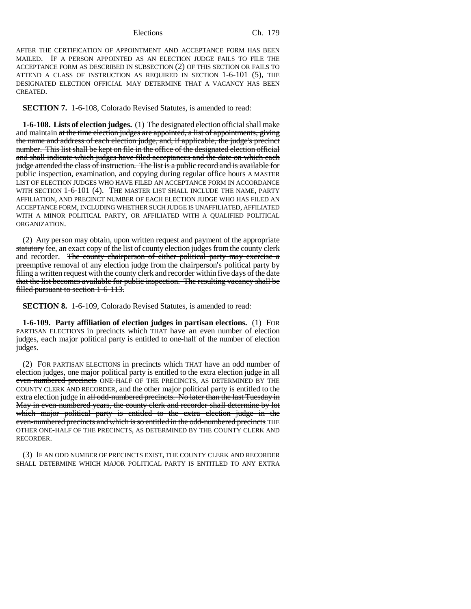AFTER THE CERTIFICATION OF APPOINTMENT AND ACCEPTANCE FORM HAS BEEN MAILED. IF A PERSON APPOINTED AS AN ELECTION JUDGE FAILS TO FILE THE ACCEPTANCE FORM AS DESCRIBED IN SUBSECTION (2) OF THIS SECTION OR FAILS TO ATTEND A CLASS OF INSTRUCTION AS REQUIRED IN SECTION 1-6-101 (5), THE DESIGNATED ELECTION OFFICIAL MAY DETERMINE THAT A VACANCY HAS BEEN CREATED.

**SECTION 7.** 1-6-108, Colorado Revised Statutes, is amended to read:

**1-6-108. Lists of election judges.** (1) The designated election official shall make and maintain at the time election judges are appointed, a list of appointments, giving the name and address of each election judge, and, if applicable, the judge's precinct number. This list shall be kept on file in the office of the designated election official and shall indicate which judges have filed acceptances and the date on which each judge attended the class of instruction. The list is a public record and is available for public inspection, examination, and copying during regular office hours A MASTER LIST OF ELECTION JUDGES WHO HAVE FILED AN ACCEPTANCE FORM IN ACCORDANCE WITH SECTION 1-6-101 (4). THE MASTER LIST SHALL INCLUDE THE NAME, PARTY AFFILIATION, AND PRECINCT NUMBER OF EACH ELECTION JUDGE WHO HAS FILED AN ACCEPTANCE FORM, INCLUDING WHETHER SUCH JUDGE IS UNAFFILIATED, AFFILIATED WITH A MINOR POLITICAL PARTY, OR AFFILIATED WITH A QUALIFIED POLITICAL ORGANIZATION.

(2) Any person may obtain, upon written request and payment of the appropriate statutory fee, an exact copy of the list of county election judges from the county clerk and recorder. The county chairperson of either political party may exercise a preemptive removal of any election judge from the chairperson's political party by filing a written request with the county clerk and recorder within five days of the date that the list becomes available for public inspection. The resulting vacancy shall be filled pursuant to section 1-6-113.

**SECTION 8.** 1-6-109, Colorado Revised Statutes, is amended to read:

**1-6-109. Party affiliation of election judges in partisan elections.** (1) FOR PARTISAN ELECTIONS in precincts which THAT have an even number of election judges, each major political party is entitled to one-half of the number of election judges.

(2) FOR PARTISAN ELECTIONS in precincts which THAT have an odd number of election judges, one major political party is entitled to the extra election judge in all even-numbered precincts ONE-HALF OF THE PRECINCTS, AS DETERMINED BY THE COUNTY CLERK AND RECORDER, and the other major political party is entitled to the extra election judge in all odd-numbered precincts. No later than the last Tuesday in May in even-numbered years, the county clerk and recorder shall determine by lot which major political party is entitled to the extra election judge in the even-numbered precincts and which is so entitled in the odd-numbered precincts THE OTHER ONE-HALF OF THE PRECINCTS, AS DETERMINED BY THE COUNTY CLERK AND RECORDER.

(3) IF AN ODD NUMBER OF PRECINCTS EXIST, THE COUNTY CLERK AND RECORDER SHALL DETERMINE WHICH MAJOR POLITICAL PARTY IS ENTITLED TO ANY EXTRA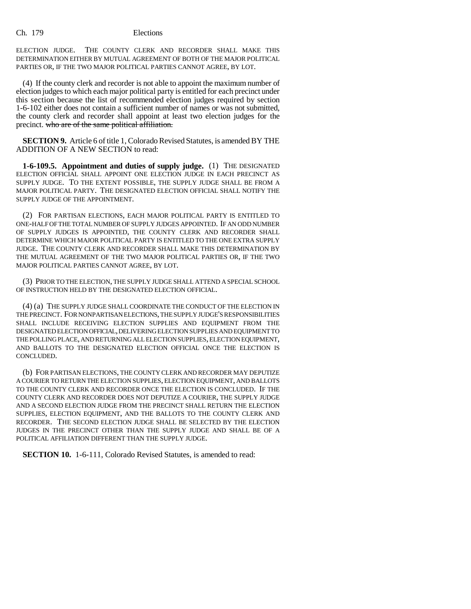ELECTION JUDGE. THE COUNTY CLERK AND RECORDER SHALL MAKE THIS DETERMINATION EITHER BY MUTUAL AGREEMENT OF BOTH OF THE MAJOR POLITICAL PARTIES OR, IF THE TWO MAJOR POLITICAL PARTIES CANNOT AGREE, BY LOT.

(4) If the county clerk and recorder is not able to appoint the maximum number of election judges to which each major political party is entitled for each precinct under this section because the list of recommended election judges required by section 1-6-102 either does not contain a sufficient number of names or was not submitted, the county clerk and recorder shall appoint at least two election judges for the precinct. who are of the same political affiliation.

**SECTION 9.** Article 6 of title 1, Colorado Revised Statutes, is amended BY THE ADDITION OF A NEW SECTION to read:

**1-6-109.5. Appointment and duties of supply judge.** (1) THE DESIGNATED ELECTION OFFICIAL SHALL APPOINT ONE ELECTION JUDGE IN EACH PRECINCT AS SUPPLY JUDGE. TO THE EXTENT POSSIBLE, THE SUPPLY JUDGE SHALL BE FROM A MAJOR POLITICAL PARTY. THE DESIGNATED ELECTION OFFICIAL SHALL NOTIFY THE SUPPLY JUDGE OF THE APPOINTMENT.

(2) FOR PARTISAN ELECTIONS, EACH MAJOR POLITICAL PARTY IS ENTITLED TO ONE-HALF OF THE TOTAL NUMBER OF SUPPLY JUDGES APPOINTED. IF AN ODD NUMBER OF SUPPLY JUDGES IS APPOINTED, THE COUNTY CLERK AND RECORDER SHALL DETERMINE WHICH MAJOR POLITICAL PARTY IS ENTITLED TO THE ONE EXTRA SUPPLY JUDGE. THE COUNTY CLERK AND RECORDER SHALL MAKE THIS DETERMINATION BY THE MUTUAL AGREEMENT OF THE TWO MAJOR POLITICAL PARTIES OR, IF THE TWO MAJOR POLITICAL PARTIES CANNOT AGREE, BY LOT.

(3) PRIOR TO THE ELECTION, THE SUPPLY JUDGE SHALL ATTEND A SPECIAL SCHOOL OF INSTRUCTION HELD BY THE DESIGNATED ELECTION OFFICIAL.

(4) (a) THE SUPPLY JUDGE SHALL COORDINATE THE CONDUCT OF THE ELECTION IN THE PRECINCT. FOR NONPARTISAN ELECTIONS, THE SUPPLY JUDGE'S RESPONSIBILITIES SHALL INCLUDE RECEIVING ELECTION SUPPLIES AND EQUIPMENT FROM THE DESIGNATED ELECTION OFFICIAL, DELIVERING ELECTION SUPPLIES AND EQUIPMENT TO THE POLLING PLACE, AND RETURNING ALL ELECTION SUPPLIES, ELECTION EQUIPMENT, AND BALLOTS TO THE DESIGNATED ELECTION OFFICIAL ONCE THE ELECTION IS CONCLUDED.

(b) FOR PARTISAN ELECTIONS, THE COUNTY CLERK AND RECORDER MAY DEPUTIZE A COURIER TO RETURN THE ELECTION SUPPLIES, ELECTION EQUIPMENT, AND BALLOTS TO THE COUNTY CLERK AND RECORDER ONCE THE ELECTION IS CONCLUDED. IF THE COUNTY CLERK AND RECORDER DOES NOT DEPUTIZE A COURIER, THE SUPPLY JUDGE AND A SECOND ELECTION JUDGE FROM THE PRECINCT SHALL RETURN THE ELECTION SUPPLIES, ELECTION EQUIPMENT, AND THE BALLOTS TO THE COUNTY CLERK AND RECORDER. THE SECOND ELECTION JUDGE SHALL BE SELECTED BY THE ELECTION JUDGES IN THE PRECINCT OTHER THAN THE SUPPLY JUDGE AND SHALL BE OF A POLITICAL AFFILIATION DIFFERENT THAN THE SUPPLY JUDGE.

**SECTION 10.** 1-6-111, Colorado Revised Statutes, is amended to read: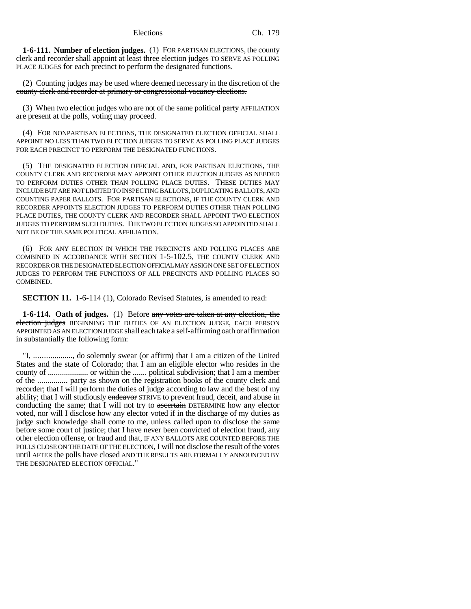**1-6-111. Number of election judges.** (1) FOR PARTISAN ELECTIONS, the county clerk and recorder shall appoint at least three election judges TO SERVE AS POLLING PLACE JUDGES for each precinct to perform the designated functions.

(2) Counting judges may be used where deemed necessary in the discretion of the county clerk and recorder at primary or congressional vacancy elections.

(3) When two election judges who are not of the same political  $\frac{\text{party}}{\text{party}}$  AFFILIATION are present at the polls, voting may proceed.

(4) FOR NONPARTISAN ELECTIONS, THE DESIGNATED ELECTION OFFICIAL SHALL APPOINT NO LESS THAN TWO ELECTION JUDGES TO SERVE AS POLLING PLACE JUDGES FOR EACH PRECINCT TO PERFORM THE DESIGNATED FUNCTIONS.

(5) THE DESIGNATED ELECTION OFFICIAL AND, FOR PARTISAN ELECTIONS, THE COUNTY CLERK AND RECORDER MAY APPOINT OTHER ELECTION JUDGES AS NEEDED TO PERFORM DUTIES OTHER THAN POLLING PLACE DUTIES. THESE DUTIES MAY INCLUDE BUT ARE NOT LIMITED TO INSPECTING BALLOTS, DUPLICATING BALLOTS, AND COUNTING PAPER BALLOTS. FOR PARTISAN ELECTIONS, IF THE COUNTY CLERK AND RECORDER APPOINTS ELECTION JUDGES TO PERFORM DUTIES OTHER THAN POLLING PLACE DUTIES, THE COUNTY CLERK AND RECORDER SHALL APPOINT TWO ELECTION JUDGES TO PERFORM SUCH DUTIES. THE TWO ELECTION JUDGES SO APPOINTED SHALL NOT BE OF THE SAME POLITICAL AFFILIATION.

(6) FOR ANY ELECTION IN WHICH THE PRECINCTS AND POLLING PLACES ARE COMBINED IN ACCORDANCE WITH SECTION 1-5-102.5, THE COUNTY CLERK AND RECORDER OR THE DESIGNATED ELECTION OFFICIAL MAY ASSIGN ONE SET OF ELECTION JUDGES TO PERFORM THE FUNCTIONS OF ALL PRECINCTS AND POLLING PLACES SO COMBINED.

**SECTION 11.** 1-6-114 (1), Colorado Revised Statutes, is amended to read:

**1-6-114. Oath of judges.** (1) Before any votes are taken at any election, the election judges BEGINNING THE DUTIES OF AN ELECTION JUDGE, EACH PERSON APPOINTED AS AN ELECTION JUDGE shall each take a self-affirming oath or affirmation in substantially the following form:

"I, ..................., do solemnly swear (or affirm) that I am a citizen of the United States and the state of Colorado; that I am an eligible elector who resides in the county of .................... or within the ....... political subdivision; that I am a member of the ............... party as shown on the registration books of the county clerk and recorder; that I will perform the duties of judge according to law and the best of my ability; that I will studiously endeavor STRIVE to prevent fraud, deceit, and abuse in conducting the same; that I will not try to  $\alpha$  ascertain DETERMINE how any elector voted, nor will I disclose how any elector voted if in the discharge of my duties as judge such knowledge shall come to me, unless called upon to disclose the same before some court of justice; that I have never been convicted of election fraud, any other election offense, or fraud and that, IF ANY BALLOTS ARE COUNTED BEFORE THE POLLS CLOSE ON THE DATE OF THE ELECTION, I will not disclose the result of the votes until AFTER the polls have closed AND THE RESULTS ARE FORMALLY ANNOUNCED BY THE DESIGNATED ELECTION OFFICIAL."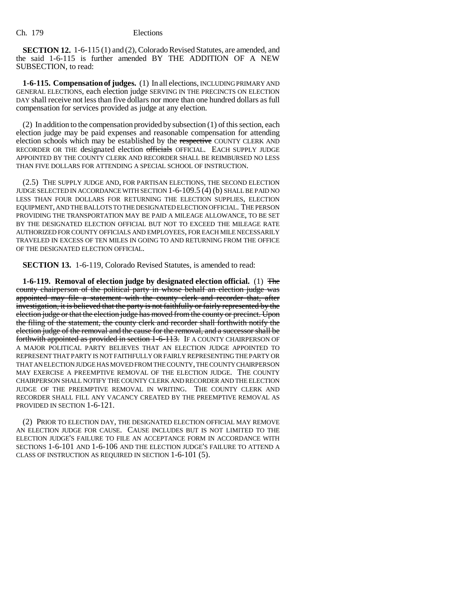**SECTION 12.** 1-6-115 (1) and (2), Colorado Revised Statutes, are amended, and the said 1-6-115 is further amended BY THE ADDITION OF A NEW SUBSECTION, to read:

**1-6-115. Compensation of judges.** (1) In all elections, INCLUDING PRIMARY AND GENERAL ELECTIONS, each election judge SERVING IN THE PRECINCTS ON ELECTION DAY shall receive not less than five dollars nor more than one hundred dollars as full compensation for services provided as judge at any election.

(2) In addition to the compensation provided by subsection (1) of this section, each election judge may be paid expenses and reasonable compensation for attending election schools which may be established by the respective COUNTY CLERK AND RECORDER OR THE designated election officials OFFICIAL. EACH SUPPLY JUDGE APPOINTED BY THE COUNTY CLERK AND RECORDER SHALL BE REIMBURSED NO LESS THAN FIVE DOLLARS FOR ATTENDING A SPECIAL SCHOOL OF INSTRUCTION.

(2.5) THE SUPPLY JUDGE AND, FOR PARTISAN ELECTIONS, THE SECOND ELECTION JUDGE SELECTED IN ACCORDANCE WITH SECTION 1-6-109.5 (4) (b) SHALL BE PAID NO LESS THAN FOUR DOLLARS FOR RETURNING THE ELECTION SUPPLIES, ELECTION EQUIPMENT, AND THE BALLOTS TO THE DESIGNATED ELECTION OFFICIAL. THE PERSON PROVIDING THE TRANSPORTATION MAY BE PAID A MILEAGE ALLOWANCE, TO BE SET BY THE DESIGNATED ELECTION OFFICIAL BUT NOT TO EXCEED THE MILEAGE RATE AUTHORIZED FOR COUNTY OFFICIALS AND EMPLOYEES, FOR EACH MILE NECESSARILY TRAVELED IN EXCESS OF TEN MILES IN GOING TO AND RETURNING FROM THE OFFICE OF THE DESIGNATED ELECTION OFFICIAL.

**SECTION 13.** 1-6-119, Colorado Revised Statutes, is amended to read:

**1-6-119. Removal of election judge by designated election official.** (1) The county chairperson of the political party in whose behalf an election judge was appointed may file a statement with the county clerk and recorder that, after investigation, it is believed that the party is not faithfully or fairly represented by the election judge or that the election judge has moved from the county or precinct. Upon the filing of the statement, the county clerk and recorder shall forthwith notify the election judge of the removal and the cause for the removal, and a successor shall be forthwith appointed as provided in section 1-6-113. IF A COUNTY CHAIRPERSON OF A MAJOR POLITICAL PARTY BELIEVES THAT AN ELECTION JUDGE APPOINTED TO REPRESENT THAT PARTY IS NOT FAITHFULLY OR FAIRLY REPRESENTING THE PARTY OR THAT AN ELECTION JUDGE HAS MOVED FROM THE COUNTY, THE COUNTY CHAIRPERSON MAY EXERCISE A PREEMPTIVE REMOVAL OF THE ELECTION JUDGE. THE COUNTY CHAIRPERSON SHALL NOTIFY THE COUNTY CLERK AND RECORDER AND THE ELECTION JUDGE OF THE PREEMPTIVE REMOVAL IN WRITING. THE COUNTY CLERK AND RECORDER SHALL FILL ANY VACANCY CREATED BY THE PREEMPTIVE REMOVAL AS PROVIDED IN SECTION 1-6-121.

(2) PRIOR TO ELECTION DAY, THE DESIGNATED ELECTION OFFICIAL MAY REMOVE AN ELECTION JUDGE FOR CAUSE. CAUSE INCLUDES BUT IS NOT LIMITED TO THE ELECTION JUDGE'S FAILURE TO FILE AN ACCEPTANCE FORM IN ACCORDANCE WITH SECTIONS 1-6-101 AND 1-6-106 AND THE ELECTION JUDGE'S FAILURE TO ATTEND A CLASS OF INSTRUCTION AS REQUIRED IN SECTION 1-6-101 (5).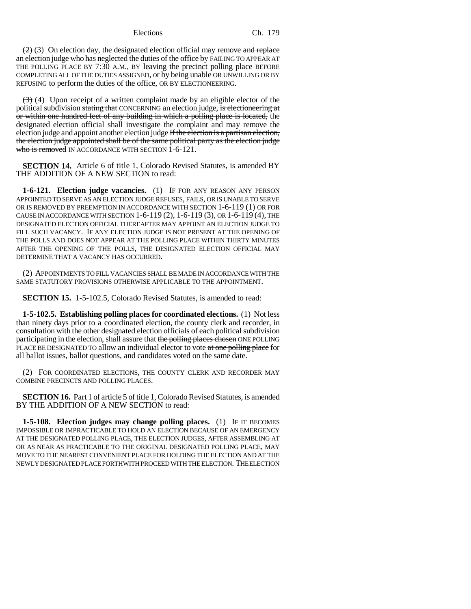$(2)$  (3) On election day, the designated election official may remove and replace an election judge who has neglected the duties of the office by FAILING TO APPEAR AT THE POLLING PLACE BY 7:30 A.M., BY leaving the precinct polling place BEFORE COMPLETING ALL OF THE DUTIES ASSIGNED,  $\sigma r$  by being unable OR UNWILLING OR BY REFUSING to perform the duties of the office, OR BY ELECTIONEERING.

 $(3)$  (4) Upon receipt of a written complaint made by an eligible elector of the political subdivision stating that CONCERNING an election judge, is electioneering at or within one hundred feet of any building in which a polling place is located, the designated election official shall investigate the complaint and may remove the election judge and appoint another election judge If the election is a partisan election, the election judge appointed shall be of the same political party as the election judge who is removed IN ACCORDANCE WITH SECTION 1-6-121.

**SECTION 14.** Article 6 of title 1, Colorado Revised Statutes, is amended BY THE ADDITION OF A NEW SECTION to read:

**1-6-121. Election judge vacancies.** (1) IF FOR ANY REASON ANY PERSON APPOINTED TO SERVE AS AN ELECTION JUDGE REFUSES, FAILS, OR IS UNABLE TO SERVE OR IS REMOVED BY PREEMPTION IN ACCORDANCE WITH SECTION 1-6-119 (1) OR FOR CAUSE IN ACCORDANCE WITH SECTION 1-6-119 (2), 1-6-119 (3), OR 1-6-119 (4), THE DESIGNATED ELECTION OFFICIAL THEREAFTER MAY APPOINT AN ELECTION JUDGE TO FILL SUCH VACANCY. IF ANY ELECTION JUDGE IS NOT PRESENT AT THE OPENING OF THE POLLS AND DOES NOT APPEAR AT THE POLLING PLACE WITHIN THIRTY MINUTES AFTER THE OPENING OF THE POLLS, THE DESIGNATED ELECTION OFFICIAL MAY DETERMINE THAT A VACANCY HAS OCCURRED.

(2) APPOINTMENTS TO FILL VACANCIES SHALL BE MADE IN ACCORDANCE WITH THE SAME STATUTORY PROVISIONS OTHERWISE APPLICABLE TO THE APPOINTMENT.

**SECTION 15.** 1-5-102.5, Colorado Revised Statutes, is amended to read:

**1-5-102.5. Establishing polling places for coordinated elections.** (1) Not less than ninety days prior to a coordinated election, the county clerk and recorder, in consultation with the other designated election officials of each political subdivision participating in the election, shall assure that the polling places chosen ONE POLLING PLACE BE DESIGNATED TO allow an individual elector to vote at one polling place for all ballot issues, ballot questions, and candidates voted on the same date.

(2) FOR COORDINATED ELECTIONS, THE COUNTY CLERK AND RECORDER MAY COMBINE PRECINCTS AND POLLING PLACES.

**SECTION 16.** Part 1 of article 5 of title 1, Colorado Revised Statutes, is amended BY THE ADDITION OF A NEW SECTION to read:

**1-5-108. Election judges may change polling places.** (1) IF IT BECOMES IMPOSSIBLE OR IMPRACTICABLE TO HOLD AN ELECTION BECAUSE OF AN EMERGENCY AT THE DESIGNATED POLLING PLACE, THE ELECTION JUDGES, AFTER ASSEMBLING AT OR AS NEAR AS PRACTICABLE TO THE ORIGINAL DESIGNATED POLLING PLACE, MAY MOVE TO THE NEAREST CONVENIENT PLACE FOR HOLDING THE ELECTION AND AT THE NEWLY DESIGNATED PLACE FORTHWITH PROCEED WITH THE ELECTION. THE ELECTION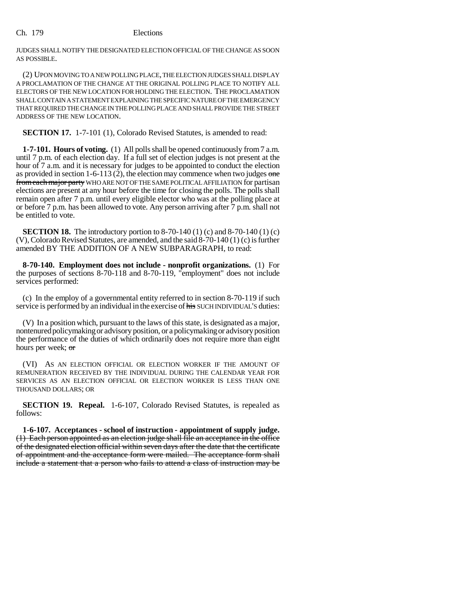JUDGES SHALL NOTIFY THE DESIGNATED ELECTION OFFICIAL OF THE CHANGE AS SOON AS POSSIBLE.

(2) UPON MOVING TO A NEW POLLING PLACE, THE ELECTION JUDGES SHALL DISPLAY A PROCLAMATION OF THE CHANGE AT THE ORIGINAL POLLING PLACE TO NOTIFY ALL ELECTORS OF THE NEW LOCATION FOR HOLDING THE ELECTION. THE PROCLAMATION SHALL CONTAIN A STATEMENT EXPLAINING THE SPECIFIC NATURE OF THE EMERGENCY THAT REQUIRED THE CHANGE IN THE POLLING PLACE AND SHALL PROVIDE THE STREET ADDRESS OF THE NEW LOCATION.

**SECTION 17.** 1-7-101 (1), Colorado Revised Statutes, is amended to read:

**1-7-101. Hours of voting.** (1) All polls shall be opened continuously from 7 a.m. until 7 p.m. of each election day. If a full set of election judges is not present at the hour of 7 a.m. and it is necessary for judges to be appointed to conduct the election as provided in section 1-6-113 (2), the election may commence when two judges one from each major party WHO ARE NOT OF THE SAME POLITICAL AFFILIATION for partisan elections are present at any hour before the time for closing the polls. The polls shall remain open after 7 p.m. until every eligible elector who was at the polling place at or before 7 p.m. has been allowed to vote. Any person arriving after 7 p.m. shall not be entitled to vote.

**SECTION 18.** The introductory portion to 8-70-140 (1) (c) and 8-70-140 (1) (c) (V), Colorado Revised Statutes, are amended, and the said 8-70-140 (1) (c) is further amended BY THE ADDITION OF A NEW SUBPARAGRAPH, to read:

**8-70-140. Employment does not include - nonprofit organizations.** (1) For the purposes of sections 8-70-118 and 8-70-119, "employment" does not include services performed:

(c) In the employ of a governmental entity referred to in section 8-70-119 if such service is performed by an individual in the exercise of his SUCH INDIVIDUAL'S duties:

(V) In a position which, pursuant to the laws of this state, is designated as a major, nontenured policymaking or advisory position, or a policymaking or advisory position the performance of the duties of which ordinarily does not require more than eight hours per week; or

(VI) AS AN ELECTION OFFICIAL OR ELECTION WORKER IF THE AMOUNT OF REMUNERATION RECEIVED BY THE INDIVIDUAL DURING THE CALENDAR YEAR FOR SERVICES AS AN ELECTION OFFICIAL OR ELECTION WORKER IS LESS THAN ONE THOUSAND DOLLARS; OR

**SECTION 19. Repeal.** 1-6-107, Colorado Revised Statutes, is repealed as follows:

**1-6-107. Acceptances - school of instruction - appointment of supply judge.** (1) Each person appointed as an election judge shall file an acceptance in the office of the designated election official within seven days after the date that the certificate of appointment and the acceptance form were mailed. The acceptance form shall include a statement that a person who fails to attend a class of instruction may be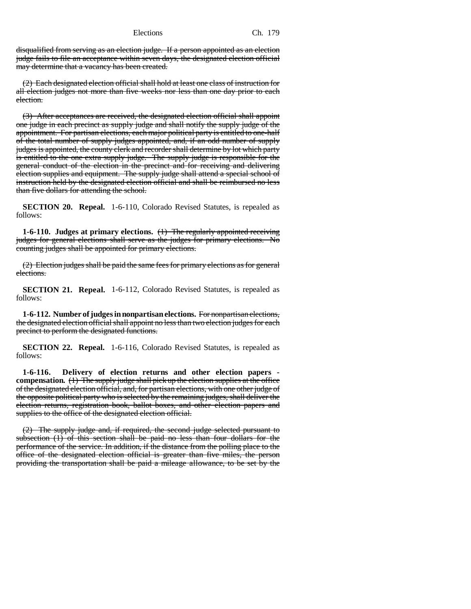disqualified from serving as an election judge. If a person appointed as an election judge fails to file an acceptance within seven days, the designated election official may determine that a vacancy has been created.

(2) Each designated election official shall hold at least one class of instruction for all election judges not more than five weeks nor less than one day prior to each election.

(3) After acceptances are received, the designated election official shall appoint one judge in each precinct as supply judge and shall notify the supply judge of the appointment. For partisan elections, each major political party is entitled to one-half of the total number of supply judges appointed, and, if an odd number of supply judges is appointed, the county clerk and recorder shall determine by lot which party is entitled to the one extra supply judge. The supply judge is responsible for the general conduct of the election in the precinct and for receiving and delivering election supplies and equipment. The supply judge shall attend a special school of instruction held by the designated election official and shall be reimbursed no less than five dollars for attending the school.

**SECTION 20. Repeal.** 1-6-110, Colorado Revised Statutes, is repealed as follows:

**1-6-110. Judges at primary elections.** (1) The regularly appointed receiving judges for general elections shall serve as the judges for primary elections. No counting judges shall be appointed for primary elections.

(2) Election judges shall be paid the same fees for primary elections as for general elections.

**SECTION 21. Repeal.** 1-6-112, Colorado Revised Statutes, is repealed as follows:

**1-6-112. Number of judges in nonpartisan elections.** For nonpartisan elections, the designated election official shall appoint no less than two election judges for each precinct to perform the designated functions.

**SECTION 22. Repeal.** 1-6-116, Colorado Revised Statutes, is repealed as follows:

**1-6-116. Delivery of election returns and other election papers compensation.** (1) The supply judge shall pick up the election supplies at the office of the designated election official, and, for partisan elections, with one other judge of the opposite political party who is selected by the remaining judges, shall deliver the election returns, registration book, ballot boxes, and other election papers and supplies to the office of the designated election official.

(2) The supply judge and, if required, the second judge selected pursuant to subsection (1) of this section shall be paid no less than four dollars for the performance of the service. In addition, if the distance from the polling place to the office of the designated election official is greater than five miles, the person providing the transportation shall be paid a mileage allowance, to be set by the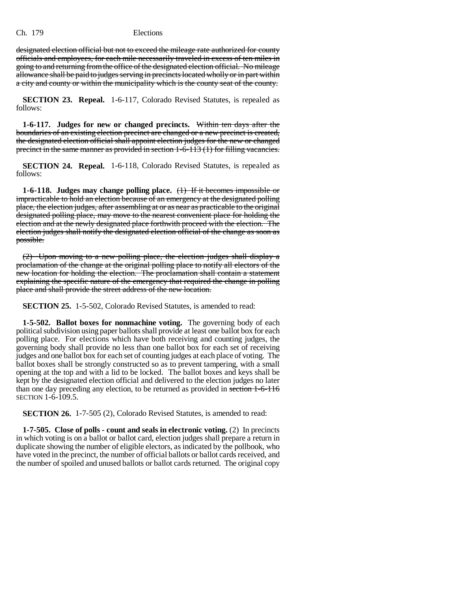designated election official but not to exceed the mileage rate authorized for county officials and employees, for each mile necessarily traveled in excess of ten miles in going to and returning from the office of the designated election official. No mileage allowance shall be paid to judges serving in precincts located wholly or in part within a city and county or within the municipality which is the county seat of the county.

**SECTION 23. Repeal.** 1-6-117, Colorado Revised Statutes, is repealed as follows:

**1-6-117. Judges for new or changed precincts.** Within ten days after the boundaries of an existing election precinct are changed or a new precinct is created, the designated election official shall appoint election judges for the new or changed precinct in the same manner as provided in section 1-6-113 (1) for filling vacancies.

**SECTION 24. Repeal.** 1-6-118, Colorado Revised Statutes, is repealed as follows:

**1-6-118. Judges may change polling place.** (1) If it becomes impossible or impracticable to hold an election because of an emergency at the designated polling place, the election judges, after assembling at or as near as practicable to the original designated polling place, may move to the nearest convenient place for holding the election and at the newly designated place forthwith proceed with the election. The election judges shall notify the designated election official of the change as soon as possible.

(2) Upon moving to a new polling place, the election judges shall display a proclamation of the change at the original polling place to notify all electors of the new location for holding the election. The proclamation shall contain a statement explaining the specific nature of the emergency that required the change in polling place and shall provide the street address of the new location.

**SECTION 25.** 1-5-502, Colorado Revised Statutes, is amended to read:

**1-5-502. Ballot boxes for nonmachine voting.** The governing body of each political subdivision using paper ballots shall provide at least one ballot box for each polling place. For elections which have both receiving and counting judges, the governing body shall provide no less than one ballot box for each set of receiving judges and one ballot box for each set of counting judges at each place of voting. The ballot boxes shall be strongly constructed so as to prevent tampering, with a small opening at the top and with a lid to be locked. The ballot boxes and keys shall be kept by the designated election official and delivered to the election judges no later than one day preceding any election, to be returned as provided in section 1-6-116 SECTION 1-6-109.5.

**SECTION 26.** 1-7-505 (2), Colorado Revised Statutes, is amended to read:

**1-7-505. Close of polls - count and seals in electronic voting.** (2) In precincts in which voting is on a ballot or ballot card, election judges shall prepare a return in duplicate showing the number of eligible electors, as indicated by the pollbook, who have voted in the precinct, the number of official ballots or ballot cards received, and the number of spoiled and unused ballots or ballot cards returned. The original copy